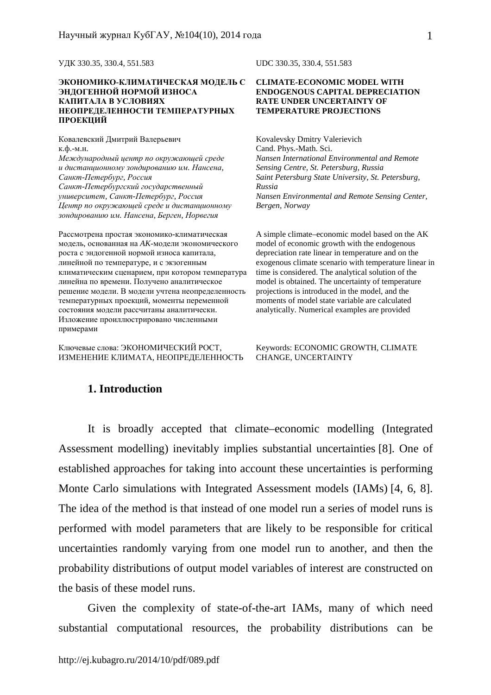УДК 330.35, 330.4, 551.583

#### **ЭКОНОМИКО-КЛИМАТИЧЕСКАЯ МОДЕЛЬ С ЭНДОГЕННОЙ НОРМОЙ ИЗНОСА КАПИТАЛА В УСЛОВИЯХ НЕОПРЕДЕЛЕННОСТИ ТЕМПЕРАТУРНЫХ ПРОЕКЦИЙ**

Ковалевский Дмитрий Валерьевич к.ф.-м.н. *Международный центр по окружающей среде и дистанционному зондированию им. Нансена, Санкт-Петербург, Россия Санкт-Петербургский государственный университет, Санкт-Петербург, Россия Центр по окружающей среде и дистанционному зондированию им. Нансена, Берген, Норвегия*

Рассмотрена простая экономико-климатическая модель, основанная на *AK-*модели экономического роста с эндогенной нормой износа капитала, линейной по температуре, и с экзогенным климатическим сценарием, при котором температура линейна по времени. Получено аналитическое решение модели. В модели учтена неопределенность температурных проекций, моменты переменной состояния модели рассчитаны аналитически. Изложение проиллюстрировано численными примерами

Ключевые слова: ЭКОНОМИЧЕСКИЙ РОСТ, ИЗМЕНЕНИЕ КЛИМАТА, НЕОПРЕДЕЛЕННОСТЬ UDC 330.35, 330.4, 551.583

#### **CLIMATE-ECONOMIC MODEL WITH ENDOGENOUS CAPITAL DEPRECIATION RATE UNDER UNCERTAINTY OF TEMPERATURE PROJECTIONS**

Kovalevsky Dmitry Valerievich Cand. Phys.-Math. Sci. *Nansen International Environmental and Remote Sensing Centre, St. Petersburg, Russia Saint Petersburg State University, St. Petersburg, Russia Nansen Environmental and Remote Sensing Center, Bergen, Norway* 

A simple climate–economic model based on the AK model of economic growth with the endogenous depreciation rate linear in temperature and on the exogenous climate scenario with temperature linear in time is considered. The analytical solution of the model is obtained. The uncertainty of temperature projections is introduced in the model, and the moments of model state variable are calculated analytically. Numerical examples are provided

Keywords: ECONOMIC GROWTH, CLIMATE CHANGE, UNCERTAINTY

### **1. Introduction**

It is broadly accepted that climate–economic modelling (Integrated Assessment modelling) inevitably implies substantial uncertainties [8]. One of established approaches for taking into account these uncertainties is performing Monte Carlo simulations with Integrated Assessment models (IAMs) [4, 6, 8]. The idea of the method is that instead of one model run a series of model runs is performed with model parameters that are likely to be responsible for critical uncertainties randomly varying from one model run to another, and then the probability distributions of output model variables of interest are constructed on the basis of these model runs.

Given the complexity of state-of-the-art IAMs, many of which need substantial computational resources, the probability distributions can be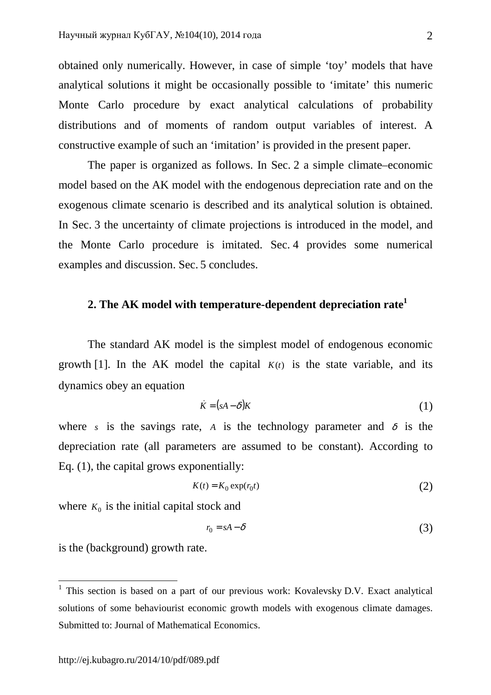obtained only numerically. However, in case of simple 'toy' models that have analytical solutions it might be occasionally possible to 'imitate' this numeric Monte Carlo procedure by exact analytical calculations of probability distributions and of moments of random output variables of interest. A constructive example of such an 'imitation' is provided in the present paper.

The paper is organized as follows. In Sec. 2 a simple climate–economic model based on the AK model with the endogenous depreciation rate and on the exogenous climate scenario is described and its analytical solution is obtained. In Sec. 3 the uncertainty of climate projections is introduced in the model, and the Monte Carlo procedure is imitated. Sec. 4 provides some numerical examples and discussion. Sec. 5 concludes.

# **2. The AK model with temperature-dependent depreciation rate<sup>1</sup>**

The standard AK model is the simplest model of endogenous economic growth [1]. In the AK model the capital  $K(t)$  is the state variable, and its dynamics obey an equation

$$
\dot{K} = (sA - \delta)K\tag{1}
$$

where *s* is the savings rate, *A* is the technology parameter and  $\delta$  is the depreciation rate (all parameters are assumed to be constant). According to Eq. (1), the capital grows exponentially:

$$
K(t) = K_0 \exp(r_0 t) \tag{2}
$$

where  $K_0$  is the initial capital stock and

$$
r_0 = sA - \delta \tag{3}
$$

is the (background) growth rate.

l

<sup>&</sup>lt;sup>1</sup> This section is based on a part of our previous work: Kovalevsky D.V. Exact analytical solutions of some behaviourist economic growth models with exogenous climate damages. Submitted to: Journal of Mathematical Economics.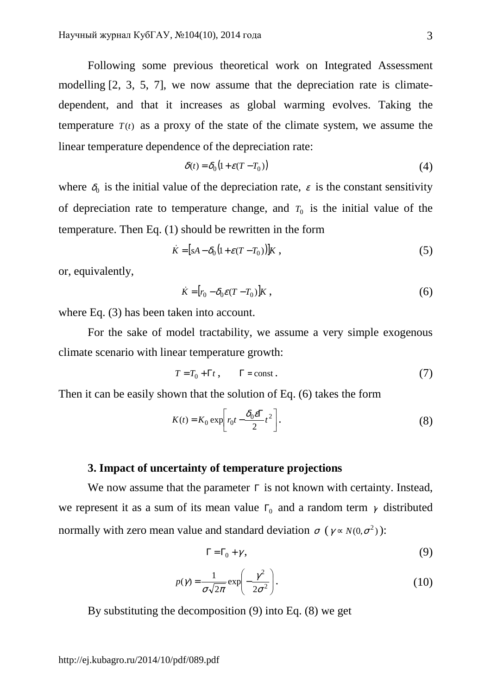Following some previous theoretical work on Integrated Assessment modelling [2, 3, 5, 7], we now assume that the depreciation rate is climatedependent, and that it increases as global warming evolves. Taking the temperature  $T(t)$  as a proxy of the state of the climate system, we assume the linear temperature dependence of the depreciation rate:

$$
\delta(t) = \delta_0 \left( 1 + \varepsilon (T - T_0) \right) \tag{4}
$$

where  $\delta_0$  is the initial value of the depreciation rate,  $\varepsilon$  is the constant sensitivity of depreciation rate to temperature change, and  $T_0$  is the initial value of the temperature. Then Eq. (1) should be rewritten in the form

$$
\dot{K} = [sA - \delta_0 (1 + \varepsilon (T - T_0))]K \t\t(5)
$$

or, equivalently,

$$
\dot{K} = [r_0 - \delta_0 \varepsilon (T - T_0)]K \t{,} \t(6)
$$

where Eq. (3) has been taken into account.

For the sake of model tractability, we assume a very simple exogenous climate scenario with linear temperature growth:

$$
T = T_0 + \Gamma t, \qquad \Gamma = \text{const.} \tag{7}
$$

Then it can be easily shown that the solution of Eq. (6) takes the form

$$
K(t) = K_0 \exp\left[r_0 t - \frac{\delta_0 e \Gamma}{2} t^2\right].
$$
 (8)

## **3. Impact of uncertainty of temperature projections**

We now assume that the parameter  $\Gamma$  is not known with certainty. Instead, we represent it as a sum of its mean value  $\Gamma_0$  and a random term  $\gamma$  distributed normally with zero mean value and standard deviation  $\sigma$  ( $\gamma \propto N(0, \sigma^2)$ ):

$$
\Gamma = \Gamma_0 + \gamma, \tag{9}
$$

$$
p(\gamma) = \frac{1}{\sigma\sqrt{2\pi}} \exp\left(-\frac{\gamma^2}{2\sigma^2}\right).
$$
 (10)

By substituting the decomposition (9) into Eq. (8) we get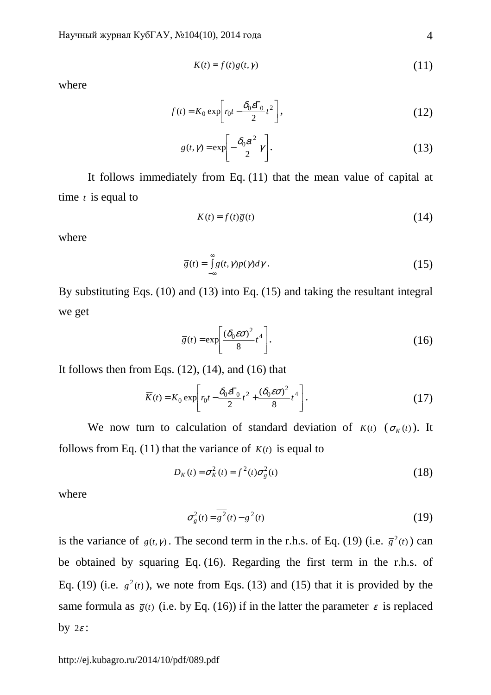$$
K(t) = f(t)g(t, \gamma) \tag{11}
$$

where

$$
f(t) = K_0 \exp\left[r_0 t - \frac{\delta_0 e F_0}{2} t^2\right],
$$
\n(12)

$$
g(t,\gamma) = \exp\left[-\frac{\delta_0 \varepsilon t^2}{2}\gamma\right].
$$
 (13)

It follows immediately from Eq. (11) that the mean value of capital at time *t* is equal to

$$
\overline{K}(t) = f(t)\overline{g}(t) \tag{14}
$$

where

$$
\overline{g}(t) = \int_{-\infty}^{\infty} g(t, \gamma) p(\gamma) d\gamma.
$$
 (15)

By substituting Eqs. (10) and (13) into Eq. (15) and taking the resultant integral we get

$$
\overline{g}(t) = \exp\left[\frac{(\delta_0 \varepsilon \sigma)^2}{8} t^4\right].
$$
 (16)

It follows then from Eqs.  $(12)$ ,  $(14)$ , and  $(16)$  that

$$
\overline{K}(t) = K_0 \exp\left[r_0 t - \frac{\delta_0 \varepsilon \Gamma_0}{2} t^2 + \frac{(\delta_0 \varepsilon \sigma)^2}{8} t^4\right].
$$
\n(17)

We now turn to calculation of standard deviation of  $K(t)$  ( $\sigma_K(t)$ ). It follows from Eq. (11) that the variance of  $K(t)$  is equal to

$$
D_K(t) = \sigma_K^2(t) = f^2(t)\sigma_g^2(t)
$$
\n(18)

where

$$
\sigma_g^2(t) = \overline{g^2}(t) - \overline{g}^2(t)
$$
 (19)

is the variance of  $g(t, \gamma)$ . The second term in the r.h.s. of Eq. (19) (i.e.  $\bar{g}^2(t)$ ) can be obtained by squaring Eq. (16). Regarding the first term in the r.h.s. of Eq. (19) (i.e.  $g^2(t)$ ), we note from Eqs. (13) and (15) that it is provided by the same formula as  $\bar{g}(t)$  (i.e. by Eq. (16)) if in the latter the parameter  $\varepsilon$  is replaced by  $2\varepsilon$ :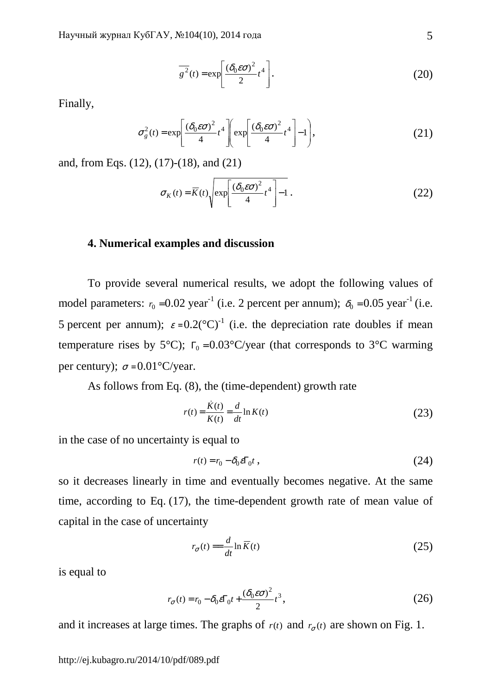$$
\overline{g^2}(t) = \exp\left[\frac{(\delta_0 \varepsilon \sigma)^2}{2} t^4\right].
$$
 (20)

Finally,

$$
\sigma_g^2(t) = \exp\left[\frac{(\delta_0 \varepsilon \sigma)^2}{4} t^4 \right] \exp\left[\frac{(\delta_0 \varepsilon \sigma)^2}{4} t^4 \right] - 1\right],
$$
 (21)

and, from Eqs. (12), (17)-(18), and (21)

$$
\sigma_K(t) = \overline{K}(t) \sqrt{\exp\left[\frac{(\delta_0 \varepsilon \sigma)^2}{4} t^4\right] - 1}.
$$
 (22)

#### **4. Numerical examples and discussion**

To provide several numerical results, we adopt the following values of model parameters:  $r_0 = 0.02$  year<sup>-1</sup> (i.e. 2 percent per annum);  $\delta_0 = 0.05$  year<sup>-1</sup> (i.e. 5 percent per annum);  $\varepsilon = 0.2({\rm ^{\circ}C})^{-1}$  (i.e. the depreciation rate doubles if mean temperature rises by 5°C);  $\Gamma_0 = 0.03$ °C/year (that corresponds to 3°C warming per century);  $\sigma = 0.01^{\circ}$ C/year.

As follows from Eq. (8), the (time-dependent) growth rate

$$
r(t) = \frac{\dot{K}(t)}{K(t)} = \frac{d}{dt} \ln K(t)
$$
\n(23)

in the case of no uncertainty is equal to

$$
r(t) = r_0 - \delta_0 \varepsilon \Gamma_0 t \tag{24}
$$

so it decreases linearly in time and eventually becomes negative. At the same time, according to Eq. (17), the time-dependent growth rate of mean value of capital in the case of uncertainty

$$
r_{\sigma}(t) = -\frac{d}{dt} \ln \overline{K}(t) \tag{25}
$$

is equal to

$$
r_{\sigma}(t) = r_0 - \delta_0 \varepsilon \Gamma_0 t + \frac{(\delta_0 \varepsilon \sigma)^2}{2} t^3,
$$
\n(26)

and it increases at large times. The graphs of  $r(t)$  and  $r_{\sigma}(t)$  are shown on Fig. 1.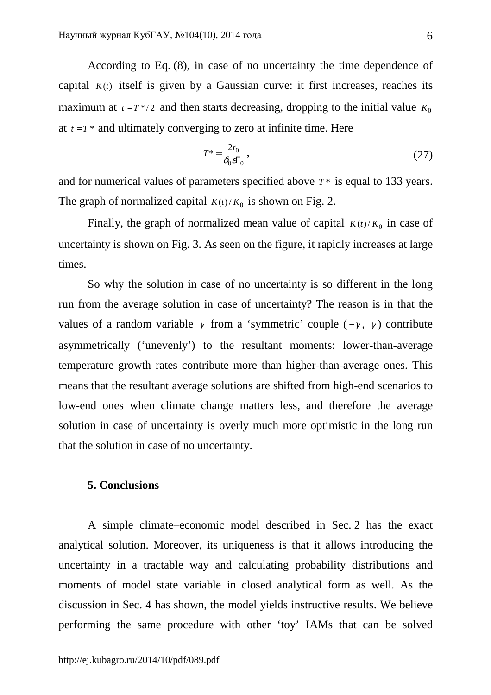According to Eq. (8), in case of no uncertainty the time dependence of capital  $K(t)$  itself is given by a Gaussian curve: it first increases, reaches its maximum at  $t = T^*/2$  and then starts decreasing, dropping to the initial value  $K_0$ at  $t = T^*$  and ultimately converging to zero at infinite time. Here

$$
T^* = \frac{2r_0}{\delta_0 \varepsilon \Gamma_0},\tag{27}
$$

and for numerical values of parameters specified above *T* \* is equal to 133 years. The graph of normalized capital  $K(t)/K_0$  is shown on Fig. 2.

Finally, the graph of normalized mean value of capital  $\overline{K}(t)/K_0$  in case of uncertainty is shown on Fig. 3. As seen on the figure, it rapidly increases at large times.

So why the solution in case of no uncertainty is so different in the long run from the average solution in case of uncertainty? The reason is in that the values of a random variable  $\gamma$  from a 'symmetric' couple ( $-\gamma$ ,  $\gamma$ ) contribute asymmetrically ('unevenly') to the resultant moments: lower-than-average temperature growth rates contribute more than higher-than-average ones. This means that the resultant average solutions are shifted from high-end scenarios to low-end ones when climate change matters less, and therefore the average solution in case of uncertainty is overly much more optimistic in the long run that the solution in case of no uncertainty.

# **5. Conclusions**

A simple climate–economic model described in Sec. 2 has the exact analytical solution. Moreover, its uniqueness is that it allows introducing the uncertainty in a tractable way and calculating probability distributions and moments of model state variable in closed analytical form as well. As the discussion in Sec. 4 has shown, the model yields instructive results. We believe performing the same procedure with other 'toy' IAMs that can be solved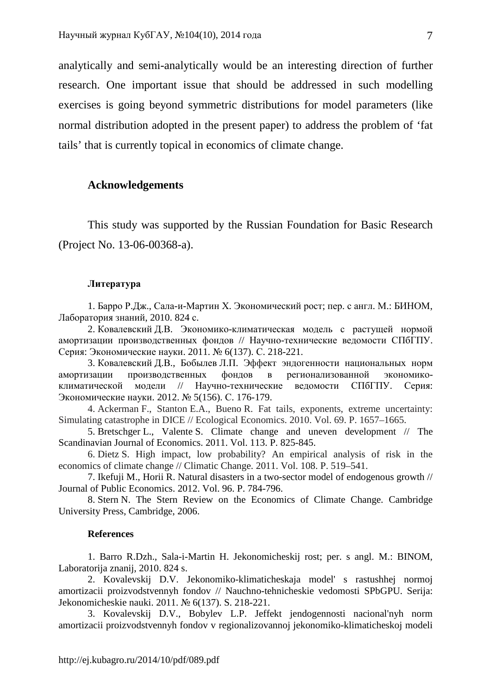analytically and semi-analytically would be an interesting direction of further research. One important issue that should be addressed in such modelling exercises is going beyond symmetric distributions for model parameters (like normal distribution adopted in the present paper) to address the problem of 'fat tails' that is currently topical in economics of climate change.

### **Acknowledgements**

This study was supported by the Russian Foundation for Basic Research (Project No. 13-06-00368-a).

#### **Литература**

1. Барро Р.Дж., Сала-и-Мартин Х. Экономический рост; пер. с англ. М.: БИНОМ, Лаборатория знаний, 2010. 824 с.

2. Ковалевский Д.В. Экономико-климатическая модель с растущей нормой амортизации производственных фондов // Научно-технические ведомости СПбГПУ. Серия: Экономические науки. 2011. № 6(137). С. 218-221.

3. Ковалевский Д.В., Бобылев Л.П. Эффект эндогенности национальных норм амортизации производственных фондов в регионализованной экономикоклиматической модели // Научно-технические ведомости СПбГПУ. Серия: Экономические науки. 2012. № 5(156). С. 176-179.

4. Ackerman F., Stanton E.A., Bueno R. Fat tails, exponents, extreme uncertainty: Simulating catastrophe in DICE // Ecological Economics. 2010. Vol. 69. P. 1657–1665.

5. Bretschger L., Valente S. Climate change and uneven development // The Scandinavian Journal of Economics. 2011. Vol. 113. P. 825-845.

6. Dietz S. High impact, low probability? An empirical analysis of risk in the economics of climate change // Climatic Change. 2011. Vol. 108. P. 519–541.

7. Ikefuji M., Horii R. Natural disasters in a two-sector model of endogenous growth // Journal of Public Economics. 2012. Vol. 96. P. 784-796.

8. Stern N. The Stern Review on the Economics of Climate Change. Cambridge University Press, Cambridge, 2006.

#### **References**

1. Barro R.Dzh., Sala-i-Martin H. Jekonomicheskij rost; per. s angl. M.: BINOM, Laboratorija znanij, 2010. 824 s.

2. Kovalevskij D.V. Jekonomiko-klimaticheskaja model' s rastushhej normoj amortizacii proizvodstvennyh fondov // Nauchno-tehnicheskie vedomosti SPbGPU. Serija: Jekonomicheskie nauki. 2011. № 6(137). S. 218-221.

3. Kovalevskij D.V., Bobylev L.P. Jeffekt jendogennosti nacional'nyh norm amortizacii proizvodstvennyh fondov v regionalizovannoj jekonomiko-klimaticheskoj modeli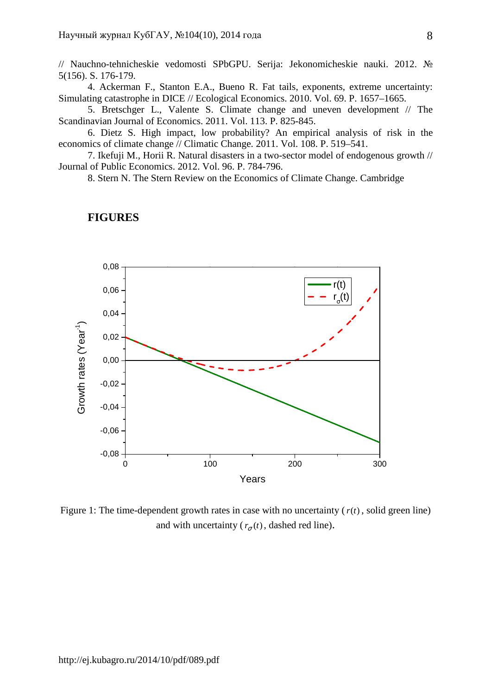// Nauchno-tehnicheskie vedomosti SPbGPU. Serija: Jekonomicheskie nauki. 2012. № 5(156). S. 176-179.

4. Ackerman F., Stanton E.A., Bueno R. Fat tails, exponents, extreme uncertainty: Simulating catastrophe in DICE // Ecological Economics. 2010. Vol. 69. P. 1657–1665.

5. Bretschger L., Valente S. Climate change and uneven development // The Scandinavian Journal of Economics. 2011. Vol. 113. P. 825-845.

6. Dietz S. High impact, low probability? An empirical analysis of risk in the economics of climate change // Climatic Change. 2011. Vol. 108. P. 519–541.

7. Ikefuji M., Horii R. Natural disasters in a two-sector model of endogenous growth // Journal of Public Economics. 2012. Vol. 96. P. 784-796.

8. Stern N. The Stern Review on the Economics of Climate Change. Cambridge



## **FIGURES**

Figure 1: The time-dependent growth rates in case with no uncertainty  $(r(t))$ , solid green line) and with uncertainty ( $r_{\sigma}(t)$ , dashed red line).